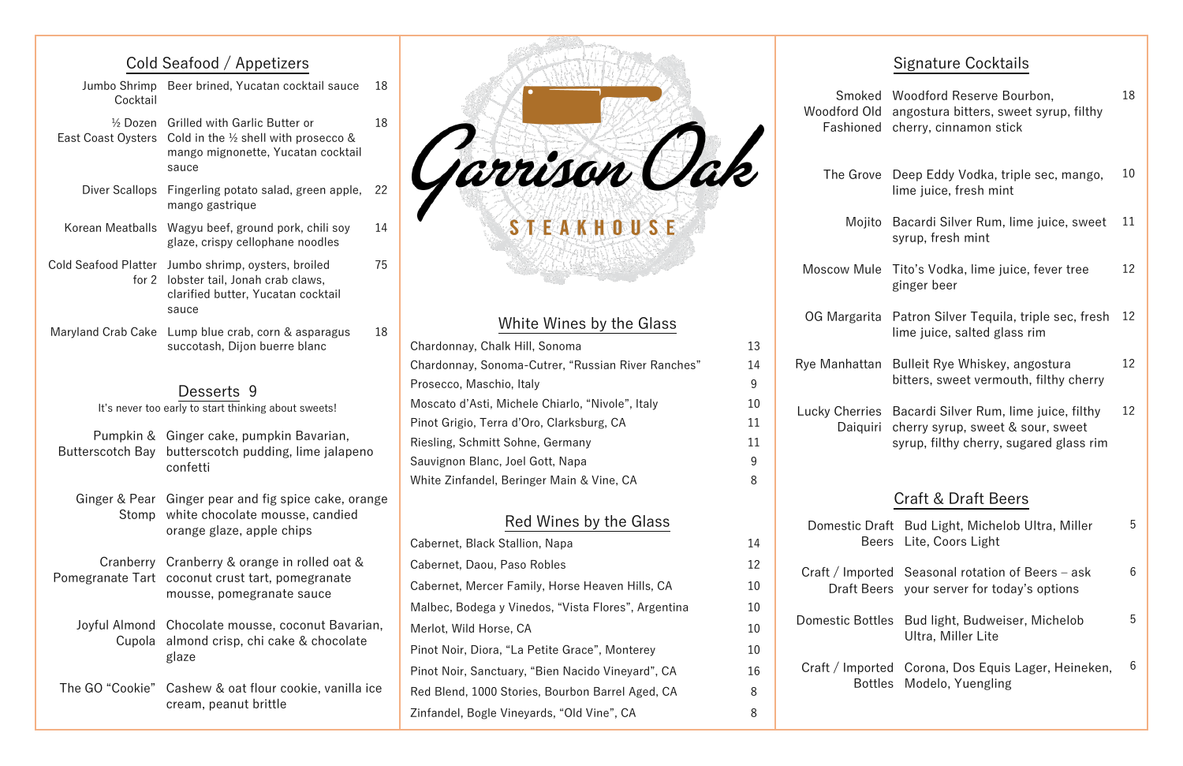# Cold Seafood / Appetizers

| Jumbo Shrimp<br>Cocktail                  | Beer brined, Yucatan cocktail sauce                                                                                                    | 18 |  |
|-------------------------------------------|----------------------------------------------------------------------------------------------------------------------------------------|----|--|
| $\frac{1}{2}$ Dozen<br>East Coast Oysters | <b>Grilled with Garlic Butter or</b><br>Cold in the $\frac{1}{2}$ shell with prosecco &<br>mango mignonette, Yucatan cocktail<br>sauce | 18 |  |
| Diver Scallops                            | Fingerling potato salad, green apple,<br>mango gastrique                                                                               | 22 |  |
| Korean Meatballs                          | Wagyu beef, ground pork, chili soy<br>glaze, crispy cellophane noodles                                                                 | 14 |  |
| <b>Cold Seafood Platter</b><br>for 2      | Jumbo shrimp, oysters, broiled<br>lobster tail, Jonah crab claws,<br>clarified butter, Yucatan cocktail<br>sauce                       | 75 |  |
| <b>Maryland Crab Cake</b>                 | Lump blue crab, corn & asparagus<br>succotash, Dijon buerre blanc                                                                      | 18 |  |
|                                           | Desserts 9<br>It's never too early to start thinking about sweets!                                                                     |    |  |
| <b>Butterscotch Bay</b>                   | Pumpkin & Ginger cake, pumpkin Bavarian,<br>butterscotch pudding, lime jalapeno<br>confetti                                            |    |  |
| Stomp                                     | Ginger & Pear Ginger pear and fig spice cake, orange<br>white chocolate mousse, candied<br>orange glaze, apple chips                   |    |  |
| Cranberry<br>Pomegranate Tart             | Cranberry & orange in rolled oat &<br>coconut crust tart, pomegranate<br>mousse, pomegranate sauce                                     |    |  |
| Joyful Almond<br>Cupola                   | Chocolate mousse, coconut Bavarian,<br>almond crisp, chi cake & chocolate<br>glaze                                                     |    |  |
| The GO "Cookie"                           | Cashew & oat flour cookie, vanilla ice<br>cream, peanut brittle                                                                        |    |  |



### White Wines by the Glass

| Chardonnay, Chalk Hill, Sonoma                     | 13 |
|----------------------------------------------------|----|
| Chardonnay, Sonoma-Cutrer, "Russian River Ranches" | 14 |
| Prosecco, Maschio, Italy                           | 9  |
| Moscato d'Asti, Michele Chiarlo, "Nivole", Italy   | 10 |
| Pinot Grigio, Terra d'Oro, Clarksburg, CA          | 11 |
| Riesling, Schmitt Sohne, Germany                   | 11 |
| Sauvignon Blanc, Joel Gott, Napa                   | 9  |
| White Zinfandel, Beringer Main & Vine, CA          | 8  |
|                                                    |    |

| Woodford Old<br>Fashioned                                                                                                                                   | Smoked Woodford Reserve Bourbon,<br>angostura bitters, sweet syrup, filthy<br>cherry, cinnamon stick | 18 |  |  |  |  |
|-------------------------------------------------------------------------------------------------------------------------------------------------------------|------------------------------------------------------------------------------------------------------|----|--|--|--|--|
| The Grove                                                                                                                                                   | Deep Eddy Vodka, triple sec, mango,<br>lime juice, fresh mint                                        |    |  |  |  |  |
| Mojito                                                                                                                                                      | Bacardi Silver Rum, lime juice, sweet<br>syrup, fresh mint                                           | 11 |  |  |  |  |
| Moscow Mule                                                                                                                                                 | Tito's Vodka, lime juice, fever tree<br>ginger beer                                                  | 12 |  |  |  |  |
| OG Margarita                                                                                                                                                | Patron Silver Tequila, triple sec, fresh<br>lime juice, salted glass rim                             |    |  |  |  |  |
| Rye Manhattan                                                                                                                                               | Bulleit Rye Whiskey, angostura<br>bitters, sweet vermouth, filthy cherry                             |    |  |  |  |  |
| <b>Lucky Cherries</b><br>Bacardi Silver Rum, lime juice, filthy<br>cherry syrup, sweet & sour, sweet<br>Daiquiri<br>syrup, filthy cherry, sugared glass rim |                                                                                                      |    |  |  |  |  |
| Craft & Draft Beers                                                                                                                                         |                                                                                                      |    |  |  |  |  |
|                                                                                                                                                             | Domestic Draft Bud Light, Michelob Ultra, Miller<br>Beers Lite, Coors Light                          | 5  |  |  |  |  |
| Craft / Imported<br><b>Draft Beers</b>                                                                                                                      | Seasonal rotation of Beers - ask<br>your server for today's options                                  |    |  |  |  |  |
| <b>Domestic Bottles</b>                                                                                                                                     | Bud light, Budweiser, Michelob<br>Ultra, Miller Lite                                                 | 5  |  |  |  |  |
| Craft / Imported<br><b>Bottles</b>                                                                                                                          | Corona, Dos Equis Lager, Heineken,<br>Modelo, Yuengling                                              | 6  |  |  |  |  |

## Signature Cocktails

| Red Wines by the Glass                              |    | Domestic D          |
|-----------------------------------------------------|----|---------------------|
| Cabernet, Black Stallion, Napa                      | 14 | B٥                  |
| Cabernet, Daou, Paso Robles                         | 12 | Craft / Impo        |
| Cabernet, Mercer Family, Horse Heaven Hills, CA     | 10 | Draft Be            |
| Malbec, Bodega y Vinedos, "Vista Flores", Argentina | 10 |                     |
| Merlot, Wild Horse, CA                              | 10 | <b>Domestic Bot</b> |
| Pinot Noir, Diora, "La Petite Grace", Monterey      | 10 |                     |
| Pinot Noir, Sanctuary, "Bien Nacido Vineyard", CA   | 16 | Craft / Impo        |
| Red Blend, 1000 Stories, Bourbon Barrel Aged, CA    | 8  | <b>Bot</b>          |
| Zinfandel, Bogle Vineyards, "Old Vine", CA          | 8  |                     |
|                                                     |    |                     |